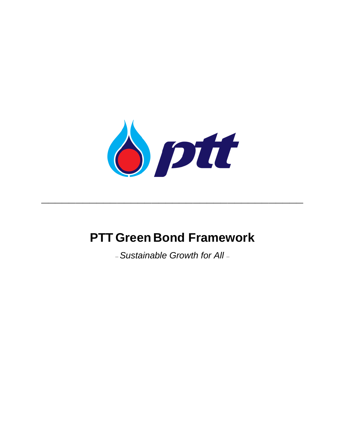

# **PTT Green Bond Framework**

**\_\_\_\_\_\_\_\_\_\_\_\_\_\_\_\_\_\_\_\_\_\_\_\_\_\_\_\_\_\_\_\_\_\_\_\_\_\_**

*–Sustainable Growth for All –*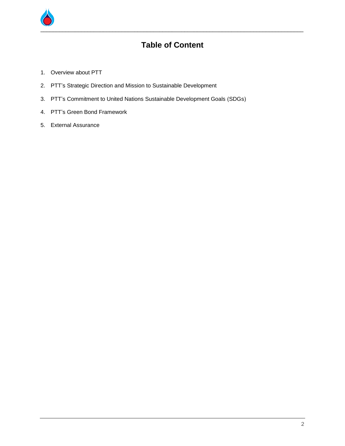

## **Table of Content**

- 1. Overview about PTT
- 2. PTT's Strategic Direction and Mission to Sustainable Development
- 3. PTT's Commitment to United Nations Sustainable Development Goals (SDGs)
- 4. PTT's Green Bond Framework
- 5. External Assurance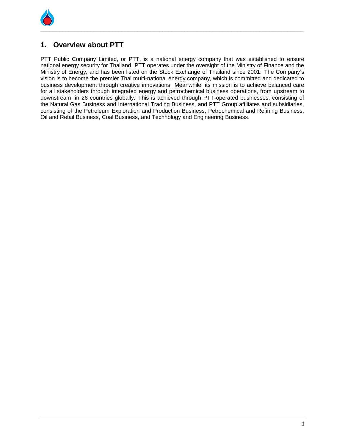

## **1. Overview about PTT**

PTT Public Company Limited, or PTT, is a national energy company that was established to ensure national energy security for Thailand. PTT operates under the oversight of the Ministry of Finance and the Ministry of Energy, and has been listed on the Stock Exchange of Thailand since 2001. The Company's vision is to become the premier Thai multi-national energy company, which is committed and dedicated to business development through creative innovations. Meanwhile, its mission is to achieve balanced care for all stakeholders through integrated energy and petrochemical business operations, from upstream to downstream, in 26 countries globally. This is achieved through PTT-operated businesses, consisting of the Natural Gas Business and International Trading Business, and PTT Group affiliates and subsidiaries, consisting of the Petroleum Exploration and Production Business, Petrochemical and Refining Business, Oil and Retail Business, Coal Business, and Technology and Engineering Business.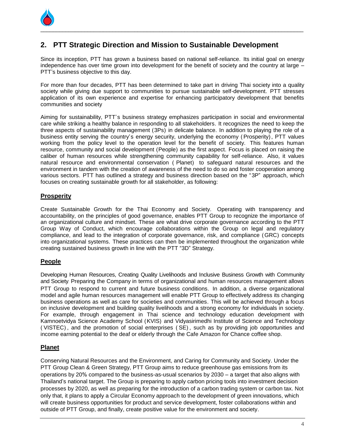

## **2. PTT Strategic Direction and Mission to Sustainable Development**

Since its inception, PTT has grown a business based on national self-reliance. Its initial goal on energy independence has over time grown into development for the benefit of society and the country at large – PTT's business objective to this day.

For more than four decades, PTT has been determined to take part in driving Thai society into a quality society while giving due support to communities to pursue sustainable self-development. PTT stresses application of its own experience and expertise for enhancing participatory development that benefits communities and society

Aiming for sustainability, PTT's business strategy emphasizes participation in social and environmental care while striking a healthy balance in responding to all stakeholders. It recognizes the need to keep the three aspects of sustainability management (3Ps) in delicate balance. In addition to playing the role of a business entity serving the country's energy security, underlying the economy (Prosperity), PTT values working from the policy level to the operation level for the benefit of society. This features human resource, community and social development (People) as the first aspect. Focus is placed on raising the caliber of human resources while strengthening community capability for self-reliance. Also, it values natural resource and environmental conservation ( Planet) to safeguard natural resources and the environment in tandem with the creation of awareness of the need to do so and foster cooperation among various sectors. PTT has outlined a strategy and business direction based on the "3P" approach, which focuses on creating sustainable growth for all stakeholder, as following:

#### **Prosperity**

Create Sustainable Growth for the Thai Economy and Society. Operating with transparency and accountability, on the principles of good governance, enables PTT Group to recognize the importance of an organizational culture and mindset. These are what drive corporate governance according to the PTT Group Way of Conduct, which encourage collaborations within the Group on legal and regulatory compliance, and lead to the integration of corporate governance, risk, and compliance (GRC) concepts into organizational systems. These practices can then be implemented throughout the organization while creating sustained business growth in line with the PTT "3D" Strategy.

## **People**

Developing Human Resources, Creating Quality Livelihoods and Inclusive Business Growth with Community and Society. Preparing the Company in terms of organizational and human resources management allows PTT Group to respond to current and future business conditions. In addition, a diverse organizational model and agile human resources management will enable PTT Group to effectively address its changing business operations as well as care for societies and communities. This will be achieved through a focus on inclusive development and building quality livelihoods and a strong economy for individuals in society. For example, through engagement in Thai science and technology education development with Kamnoetvidya Science Academy School (KVIS) and Vidyasirimedhi Institute of Science and Technology ( VISTEC) , and the promotion of social enterprises ( SE) , such as by providing job opportunities and income earning potential to the deaf or elderly through the Cafe Amazon for Chance coffee shop.

## **Planet**

Conserving Natural Resources and the Environment, and Caring for Community and Society. Under the PTT Group Clean & Green Strategy, PTT Group aims to reduce greenhouse gas emissions from its operations by 20% compared to the business-as-usual scenarios by 2030 – a target that also aligns with Thailand's national target. The Group is preparing to apply carbon pricing tools into investment decision processes by 2020, as well as preparing for the introduction of a carbon trading system or carbon tax. Not only that, it plans to apply a Circular Economy approach to the development of green innovations, which will create business opportunities for product and service development, foster collaborations within and outside of PTT Group, and finally, create positive value for the environment and society.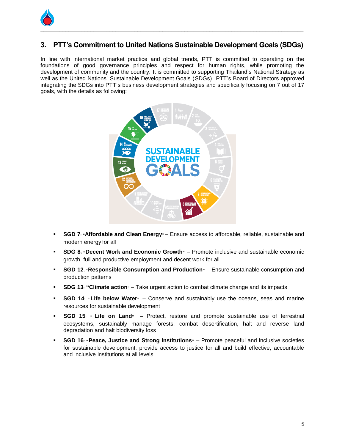

## **3. PTT's Commitment to United Nations Sustainable Development Goals (SDGs)**

In line with international market practice and global trends, PTT is committed to operating on the foundations of good governance principles and respect for human rights, while promoting the development of community and the country. It is committed to supporting Thailand's National Strategy as well as the United Nations' Sustainable Development Goals (SDGs). PTT's Board of Directors approved integrating the SDGs into PTT's business development strategies and specifically focusing on 7 out of 17 goals, with the details as following:



- **SGD 7: "Affordable and Clean Energy" Ensure access to affordable, reliable, sustainable and** modern energy for all
- **SDG 8: "Decent Work and Economic Growth"** Promote inclusive and sustainable economic growth, full and productive employment and decent work for all
- **SGD 12: "Responsible Consumption and Production"** Ensure sustainable consumption and production patterns
- **SDG 13: "Climate action"** Take urgent action to combat climate change and its impacts
- **SGD 14**<sup> $\cdot$ </sup> **Life below Water**<sup> $\cdot$ </sup> Conserve and sustainably use the oceans, seas and marine resources for sustainable development
- **SGD 15: " Life on Land"** Protect, restore and promote sustainable use of terrestrial ecosystems, sustainably manage forests, combat desertification, halt and reverse land degradation and halt biodiversity loss
- **SGD 16**: "**Peace, Justice and Strong Institutions**" Promote peaceful and inclusive societies for sustainable development, provide access to justice for all and build effective, accountable and inclusive institutions at all levels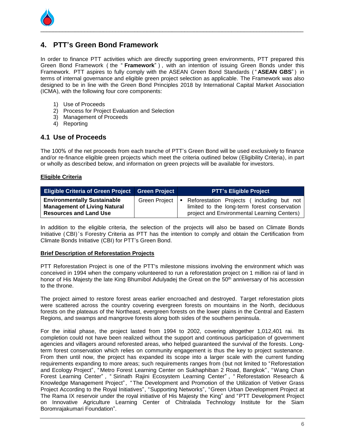

## **4. PTT's Green Bond Framework**

In order to finance PTT activities which are directly supporting green environments, PTT prepared this Green Bond Framework ( the " **Framework**" ) , with an intention of issuing Green Bonds under this Framework. PTT aspires to fully comply with the ASEAN Green Bond Standards ( " **ASEAN GBS**" ) in terms of internal governance and eligible green project selection as applicable. The Framework was also designed to be in line with the Green Bond Principles 2018 by International Capital Market Association (ICMA), with the following four core components:

- 1) Use of Proceeds
- 2) Process for Project Evaluation and Selection
- 3) Management of Proceeds
- 4) Reporting

#### **4.1 Use of Proceeds**

The 100% of the net proceeds from each tranche of PTT's Green Bond will be used exclusively to finance and/or re-finance eligible green projects which meet the criteria outlined below (Eligibility Criteria), in part or wholly as described below, and information on green projects will be available for investors.

#### **Eligible Criteria**

| <b>Eligible Criteria of Green Project Green Project</b>                                                    |               | <b>PTT's Eligible Project</b>                                                                                                                              |
|------------------------------------------------------------------------------------------------------------|---------------|------------------------------------------------------------------------------------------------------------------------------------------------------------|
| <b>Environmentally Sustainable</b><br><b>Management of Living Natural</b><br><b>Resources and Land Use</b> | Green Project | Reforestation Projects (including but not<br>$\blacksquare$<br>limited to the long-term forest conservation<br>project and Environmental Learning Centers) |

In addition to the eligible criteria, the selection of the projects will also be based on Climate Bonds Initiative ( CBI) 's Forestry Criteria as PTT has the intention to comply and obtain the Certification from Climate Bonds Initiative (CBI) for PTT's Green Bond.

#### **Brief Description of Reforestation Projects**

PTT Reforestation Project is one of the PTT's milestone missions involving the environment which was conceived in 1994 when the company volunteered to run a reforestation project on 1 million rai of land in honor of His Majesty the late King Bhumibol Adulyadej the Great on the 50<sup>th</sup> anniversary of his accession to the throne.

The project aimed to restore forest areas earlier encroached and destroyed. Target reforestation plots were scattered across the country covering evergreen forests on mountains in the North, deciduous forests on the plateaus of the Northeast, evergreen forests on the lower plains in the Central and Eastern Regions, and swamps and mangrove forests along both sides of the southern peninsula.

For the initial phase, the project lasted from 1994 to 2002, covering altogether 1,012,401 rai. Its completion could not have been realized without the support and continuous participation of government agencies and villagers around reforested areas, who helped guaranteed the survival of the forests. Longterm forest conservation which relies on community engagement is thus the key to project sustenance. From then until now, the project has expanded its scope into a larger scale with the current funding requirements expanding to more areas; such requirements ranges from (but not limited to "Reforestation and Ecology Project", "Metro Forest Learning Center on Sukhaphiban 2 Road, Bangkok", "Wang Chan Forest Learning Center" , " Sirinath Rajini Ecosystem Learning Center" , " Reforestation Research & Knowledge Management Project", "The Development and Promotion of the Utilization of Vetiver Grass Project According to the Royal Initiatives", "Supporting Networks", "Green Urban Development Project at The Rama IX reservoir under the royal initiative of His Majesty the King" and "PTT Development Project on Innovative Agriculture Learning Center of Chitralada Technology Institute for the Siam Boromrajakumari Foundation".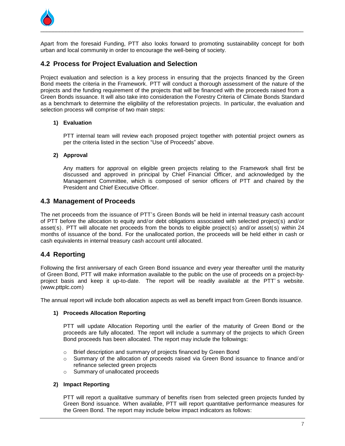

Apart from the foresaid Funding, PTT also looks forward to promoting sustainability concept for both urban and local community in order to encourage the well-being of society.

### **4.2 Process for Project Evaluation and Selection**

Project evaluation and selection is a key process in ensuring that the projects financed by the Green Bond meets the criteria in the Framework. PTT will conduct a thorough assessment of the nature of the projects and the funding requirement of the projects that will be financed with the proceeds raised from a Green Bonds issuance. It will also take into consideration the Forestry Criteria of Climate Bonds Standard as a benchmark to determine the eligibility of the reforestation projects. In particular, the evaluation and selection process will comprise of two main steps:

#### **1) Evaluation**

PTT internal team will review each proposed project together with potential project owners as per the criteria listed in the section "Use of Proceeds" above.

#### **2) Approval**

Any matters for approval on eligible green projects relating to the Framework shall first be discussed and approved in principal by Chief Financial Officer, and acknowledged by the Management Committee, which is composed of senior officers of PTT and chaired by the President and Chief Executive Officer.

#### **4.3 Management of Proceeds**

The net proceeds from the issuance of PTT's Green Bonds will be held in internal treasury cash account of PTT before the allocation to equity and/or debt obligations associated with selected project(s) and/or asset(s). PTT will allocate net proceeds from the bonds to eligible project(s) and/or asset(s) within 24 months of issuance of the bond. For the unallocated portion, the proceeds will be held either in cash or cash equivalents in internal treasury cash account until allocated.

#### **4.4 Reporting**

Following the first anniversary of each Green Bond issuance and every year thereafter until the maturity of Green Bond, PTT will make information available to the public on the use of proceeds on a project-byproject basis and keep it up-to-date. The report will be readily available at the PTT' s website. (www.pttplc.com)

The annual report will include both allocation aspects as well as benefit impact from Green Bonds issuance.

#### **1) Proceeds Allocation Reporting**

PTT will update Allocation Reporting until the earlier of the maturity of Green Bond or the proceeds are fully allocated. The report will include a summary of the projects to which Green Bond proceeds has been allocated. The report may include the followings:

- o Brief description and summary of projects financed by Green Bond
- o Summary of the allocation of proceeds raised via Green Bond issuance to finance and/ or refinance selected green projects
- o Summary of unallocated proceeds

#### **2) Impact Reporting**

PTT will report a qualitative summary of benefits risen from selected green projects funded by Green Bond issuance. When available, PTT will report quantitative performance measures for the Green Bond. The report may include below impact indicators as follows: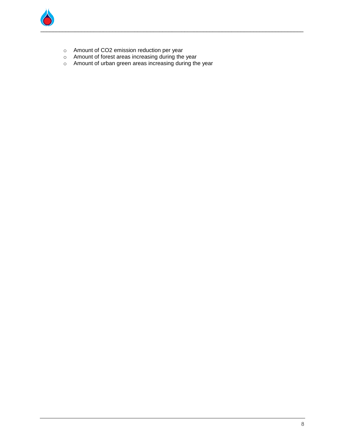

- o Amount of CO2 emission reduction per year
- o Amount of forest areas increasing during the year
- o Amount of urban green areas increasing during the year